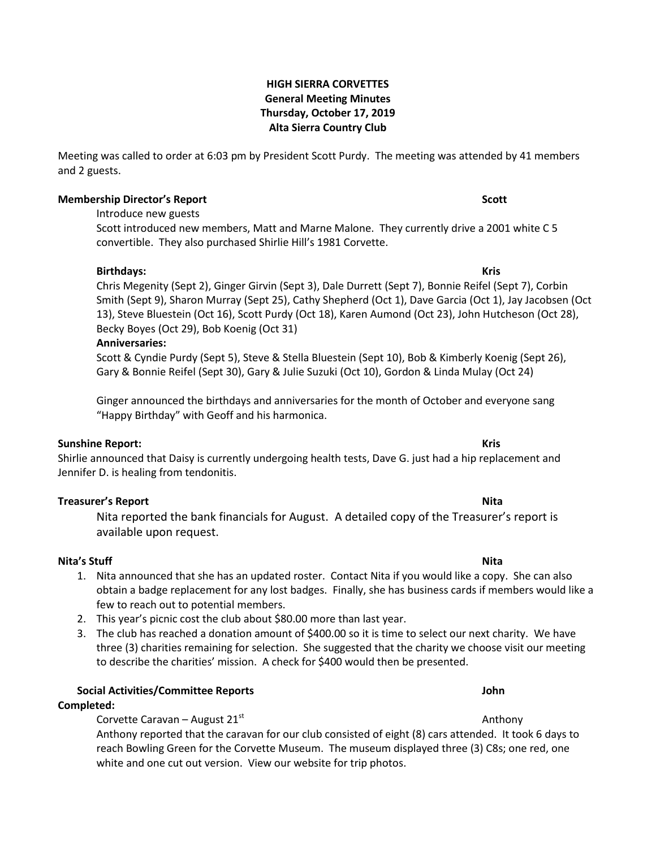# **HIGH SIERRA CORVETTES General Meeting Minutes Thursday, October 17, 2019 Alta Sierra Country Club**

Meeting was called to order at 6:03 pm by President Scott Purdy. The meeting was attended by 41 members and 2 guests.

# **Membership Director's Report Scott**

Introduce new guests

Scott introduced new members, Matt and Marne Malone. They currently drive a 2001 white C 5 convertible. They also purchased Shirlie Hill's 1981 Corvette.

**Birthdays: Kris** Chris Megenity (Sept 2), Ginger Girvin (Sept 3), Dale Durrett (Sept 7), Bonnie Reifel (Sept 7), Corbin Smith (Sept 9), Sharon Murray (Sept 25), Cathy Shepherd (Oct 1), Dave Garcia (Oct 1), Jay Jacobsen (Oct 13), Steve Bluestein (Oct 16), Scott Purdy (Oct 18), Karen Aumond (Oct 23), John Hutcheson (Oct 28), Becky Boyes (Oct 29), Bob Koenig (Oct 31)

### **Anniversaries:**

Scott & Cyndie Purdy (Sept 5), Steve & Stella Bluestein (Sept 10), Bob & Kimberly Koenig (Sept 26), Gary & Bonnie Reifel (Sept 30), Gary & Julie Suzuki (Oct 10), Gordon & Linda Mulay (Oct 24)

Ginger announced the birthdays and anniversaries for the month of October and everyone sang "Happy Birthday" with Geoff and his harmonica.

### **Sunshine Report: Kris**

Shirlie announced that Daisy is currently undergoing health tests, Dave G. just had a hip replacement and Jennifer D. is healing from tendonitis.

# **Treasurer's Report Nita**

Nita reported the bank financials for August. A detailed copy of the Treasurer's report is available upon request.

# **Nita's Stuff Nita**

- 1. Nita announced that she has an updated roster. Contact Nita if you would like a copy. She can also obtain a badge replacement for any lost badges. Finally, she has business cards if members would like a few to reach out to potential members.
- 2. This year's picnic cost the club about \$80.00 more than last year.
- 3. The club has reached a donation amount of \$400.00 so it is time to select our next charity. We have three (3) charities remaining for selection. She suggested that the charity we choose visit our meeting to describe the charities' mission. A check for \$400 would then be presented.

# **Social Activities/Committee Reports John**

# **Completed:**

Corvette Caravan – August 21<sup>st</sup> Anthony

Anthony reported that the caravan for our club consisted of eight (8) cars attended. It took 6 days to reach Bowling Green for the Corvette Museum. The museum displayed three (3) C8s; one red, one white and one cut out version. View our website for trip photos.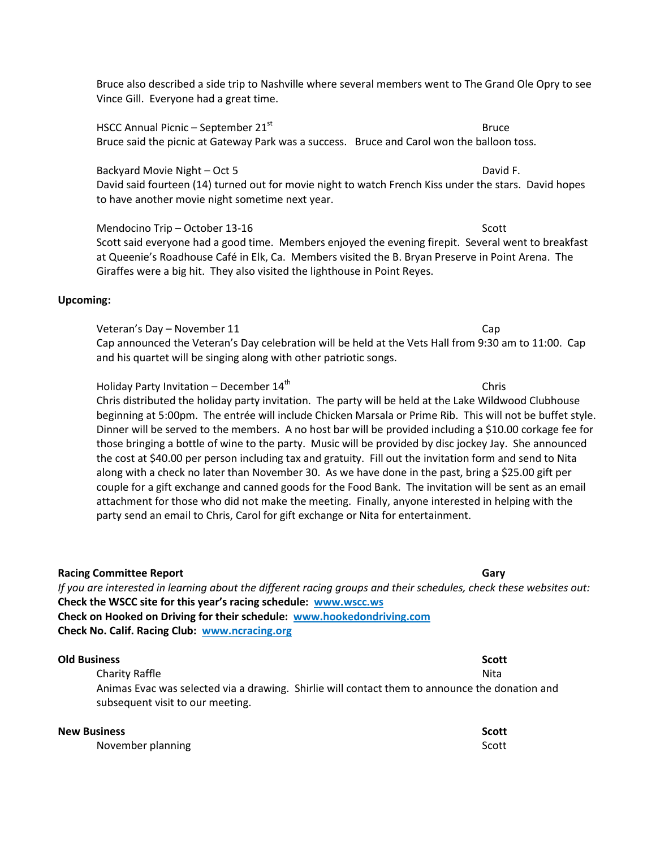Bruce also described a side trip to Nashville where several members went to The Grand Ole Opry to see Vince Gill. Everyone had a great time.

HSCC Annual Picnic – September 21<sup>st</sup> Bruce Bruce Bruce said the picnic at Gateway Park was a success. Bruce and Carol won the balloon toss.

Backyard Movie Night – Oct 5 David F. David said fourteen (14) turned out for movie night to watch French Kiss under the stars. David hopes to have another movie night sometime next year.

Mendocino Trip – October 13-16 Scott Scott Scott Scott Scott Scott Scott Scott Scott Scott Scott Scott Scott Scott Scott Scott Scott Scott Scott Scott Scott Scott Scott Scott Scott Scott Scott Scott Scott Scott Scott Scott Scott said everyone had a good time. Members enjoyed the evening firepit. Several went to breakfast at Queenie's Roadhouse Café in Elk, Ca. Members visited the B. Bryan Preserve in Point Arena. The Giraffes were a big hit. They also visited the lighthouse in Point Reyes.

### **Upcoming:**

Veteran's Day – November 11 Cap Cap announced the Veteran's Day celebration will be held at the Vets Hall from 9:30 am to 11:00. Cap and his quartet will be singing along with other patriotic songs.

Holiday Party Invitation – December  $14<sup>th</sup>$  Chris Chris distributed the holiday party invitation. The party will be held at the Lake Wildwood Clubhouse beginning at 5:00pm. The entrée will include Chicken Marsala or Prime Rib. This will not be buffet style. Dinner will be served to the members. A no host bar will be provided including a \$10.00 corkage fee for those bringing a bottle of wine to the party. Music will be provided by disc jockey Jay. She announced the cost at \$40.00 per person including tax and gratuity. Fill out the invitation form and send to Nita along with a check no later than November 30. As we have done in the past, bring a \$25.00 gift per couple for a gift exchange and canned goods for the Food Bank. The invitation will be sent as an email attachment for those who did not make the meeting. Finally, anyone interested in helping with the party send an email to Chris, Carol for gift exchange or Nita for entertainment.

**Racing Committee Report Gary** *If you are interested in learning about the different racing groups and their schedules, check these websites out:* **Check the WSCC site for this year's racing schedule: www.wscc.ws Check on Hooked on Driving for their schedule: [www.hookedondriving.com](http://www.hookedondriving.com/) Check No. Calif. Racing Club: [www.ncracing.org](http://www.ncracing.org/) Old Business Scott** Charity Raffle Nita and Society Research and Society Raffle Nita and Society Research and Society Research and Society Research and Society Research and Society Research and Society Research and Society Research and Societ Animas Evac was selected via a drawing. Shirlie will contact them to announce the donation and subsequent visit to our meeting.

**New Business Scott** November planning Scott and the Scott services of the Scott Scott Scott Scott Scott Scott Scott Scott Scott Scott Scott Scott Scott Scott Scott Scott Scott Scott Scott Scott Scott Scott Scott Scott Scott Scott Scott Scott